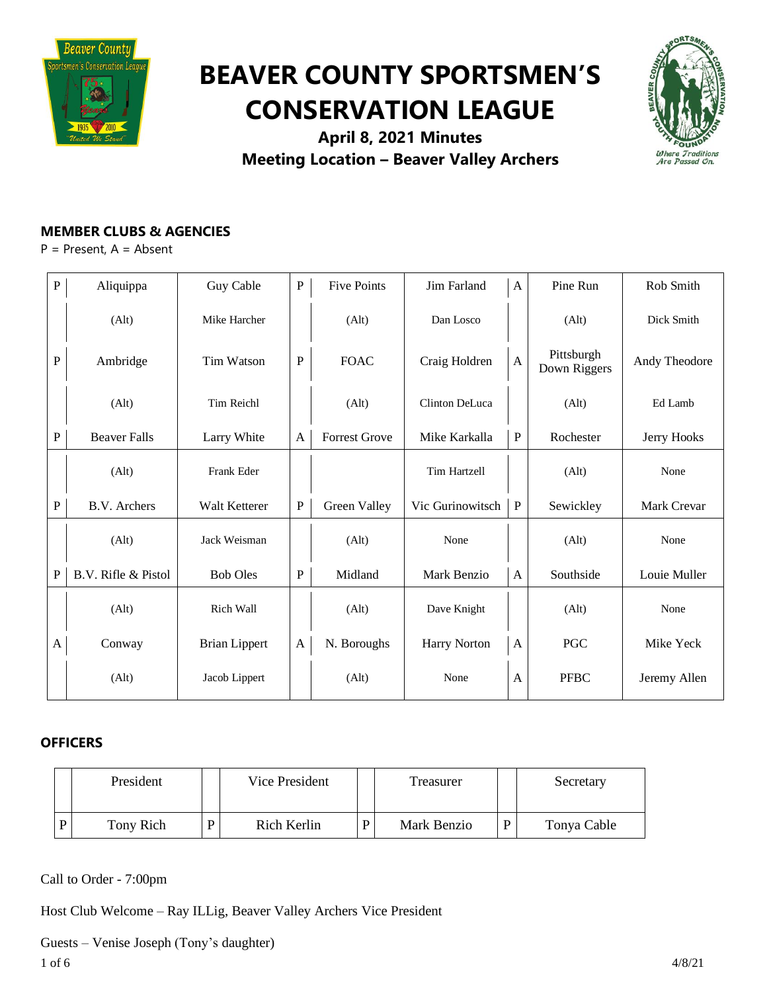

# **BEAVER COUNTY SPORTSMEN'S CONSERVATION LEAGUE**



**April 8, 2021 Minutes Meeting Location – Beaver Valley Archers**

# **MEMBER CLUBS & AGENCIES**

P = Present, A = Absent

| $\, {\bf P}$ | Aliquippa           | Guy Cable            | ${\bf P}$    | <b>Five Points</b>   | Jim Farland         | $\mathbf{A}$ | Pine Run                   | Rob Smith     |
|--------------|---------------------|----------------------|--------------|----------------------|---------------------|--------------|----------------------------|---------------|
|              | (A <sup>l</sup> t)  | Mike Harcher         |              | (A <sup>l</sup> t)   | Dan Losco           |              | (Alt)                      | Dick Smith    |
| $\mathbf P$  | Ambridge            | Tim Watson           | $\mathbf P$  | <b>FOAC</b>          | Craig Holdren       | $\mathbf{A}$ | Pittsburgh<br>Down Riggers | Andy Theodore |
|              | (Alt)               | <b>Tim Reichl</b>    |              | (Alt)                | Clinton DeLuca      |              | (Alt)                      | Ed Lamb       |
| $\mathbf{P}$ | <b>Beaver Falls</b> | Larry White          | A            | <b>Forrest Grove</b> | Mike Karkalla       | $\, {\bf P}$ | Rochester                  | Jerry Hooks   |
|              | (A <sup>l</sup> t)  | Frank Eder           |              |                      | Tim Hartzell        |              | (Alt)                      | None          |
| P            | B.V. Archers        | Walt Ketterer        | $\mathbf P$  | Green Valley         | Vic Gurinowitsch    | $\mathbf P$  | Sewickley                  | Mark Crevar   |
|              | (Alt)               | Jack Weisman         |              | (A <sup>l</sup> t)   | None                |              | (Alt)                      | None          |
| $\mathbf P$  | B.V. Rifle & Pistol | <b>Bob Oles</b>      | $\mathbf{P}$ | Midland              | Mark Benzio         | $\mathbf{A}$ | Southside                  | Louie Muller  |
|              | (Alt)               | Rich Wall            |              | (Alt)                | Dave Knight         |              | (Alt)                      | None          |
| A            | Conway              | <b>Brian Lippert</b> | A            | N. Boroughs          | <b>Harry Norton</b> | A            | PGC                        | Mike Yeck     |
|              | (A <sup>l</sup> t)  | Jacob Lippert        |              | (A <sup>l</sup> t)   | None                | A            | <b>PFBC</b>                | Jeremy Allen  |

# **OFFICERS**

| President |   | Vice President | Treasurer   | Secretary   |
|-----------|---|----------------|-------------|-------------|
| Tony Rich | D | Rich Kerlin    | Mark Benzio | Tonya Cable |

Call to Order - 7:00pm

Host Club Welcome – Ray ILLig, Beaver Valley Archers Vice President

Guests – Venise Joseph (Tony's daughter)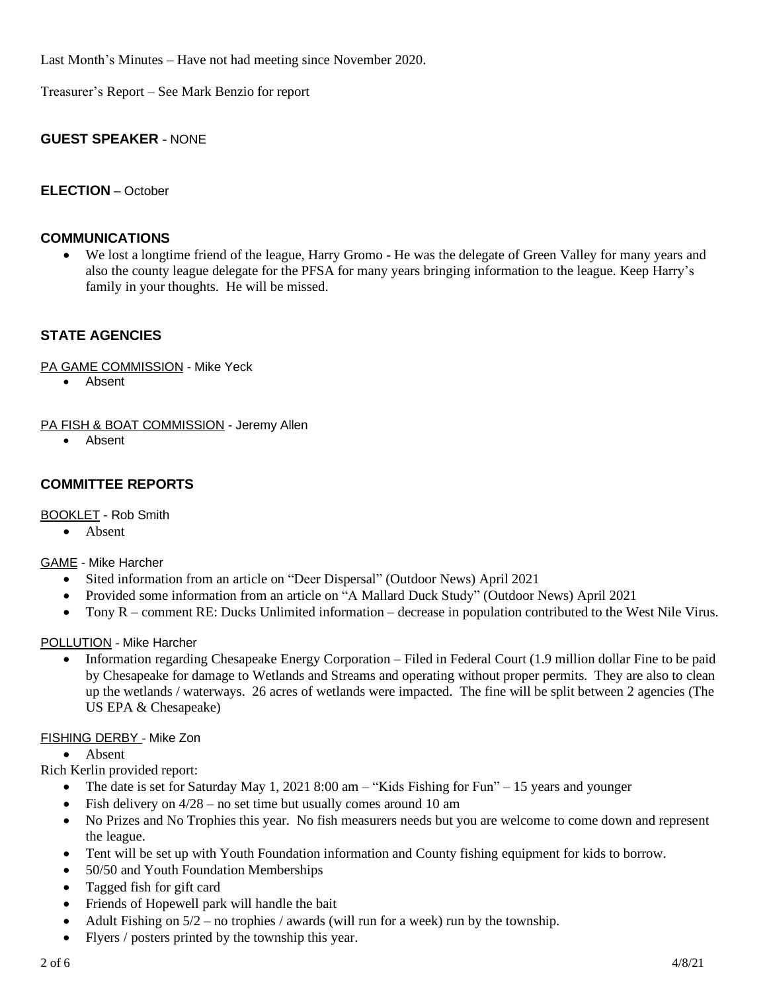Last Month's Minutes – Have not had meeting since November 2020.

Treasurer's Report – See Mark Benzio for report

## **GUEST SPEAKER** - NONE

## **ELECTION** – October

## **COMMUNICATIONS**

We lost a longtime friend of the league, Harry Gromo - He was the delegate of Green Valley for many years and also the county league delegate for the PFSA for many years bringing information to the league. Keep Harry's family in your thoughts. He will be missed.

# **STATE AGENCIES**

PA GAME COMMISSION - Mike Yeck

• Absent

PA FISH & BOAT COMMISSION - Jeremy Allen

• Absent

# **COMMITTEE REPORTS**

BOOKLET - Rob Smith

• Absent

GAME - Mike Harcher

- Sited information from an article on "Deer Dispersal" (Outdoor News) April 2021
- Provided some information from an article on "A Mallard Duck Study" (Outdoor News) April 2021
- Tony R comment RE: Ducks Unlimited information decrease in population contributed to the West Nile Virus.

#### POLLUTION - Mike Harcher

• Information regarding Chesapeake Energy Corporation – Filed in Federal Court (1.9 million dollar Fine to be paid by Chesapeake for damage to Wetlands and Streams and operating without proper permits. They are also to clean up the wetlands / waterways. 26 acres of wetlands were impacted. The fine will be split between 2 agencies (The US EPA & Chesapeake)

## FISHING DERBY - Mike Zon

• Absent

Rich Kerlin provided report:

- The date is set for Saturday May 1, 2021 8:00 am  $-$  "Kids Fishing for Fun"  $-$  15 years and younger
- Fish delivery on  $4/28$  no set time but usually comes around 10 am
- No Prizes and No Trophies this year. No fish measurers needs but you are welcome to come down and represent the league.
- Tent will be set up with Youth Foundation information and County fishing equipment for kids to borrow.
- 50/50 and Youth Foundation Memberships
- Tagged fish for gift card
- Friends of Hopewell park will handle the bait
- Adult Fishing on  $5/2$  no trophies / awards (will run for a week) run by the township.
- Flyers / posters printed by the township this year.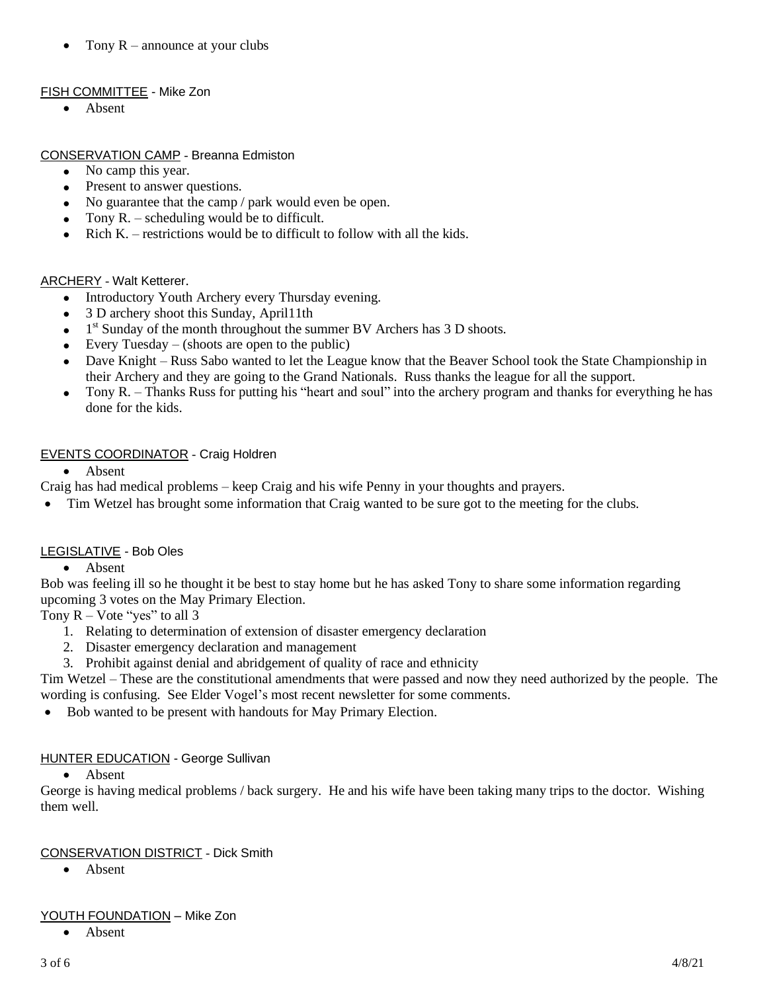• Tony  $R$  – announce at your clubs

# FISH COMMITTEE - Mike Zon

• Absent

# CONSERVATION CAMP - Breanna Edmiston

- No camp this year.
- Present to answer questions.
- No guarantee that the camp / park would even be open.
- Tony  $R$ . scheduling would be to difficult.
- Rich  $K$ . restrictions would be to difficult to follow with all the kids.

# ARCHERY - Walt Ketterer.

- Introductory Youth Archery every Thursday evening.
- 3 D archery shoot this Sunday, April11th
- $\bullet$  1<sup>st</sup> Sunday of the month throughout the summer BV Archers has 3 D shoots.
- Every Tuesday  $-$  (shoots are open to the public)
- Dave Knight Russ Sabo wanted to let the League know that the Beaver School took the State Championship in their Archery and they are going to the Grand Nationals. Russ thanks the league for all the support.
- Tony R. Thanks Russ for putting his "heart and soul" into the archery program and thanks for everything he has done for the kids.

# EVENTS COORDINATOR - Craig Holdren

• Absent

Craig has had medical problems – keep Craig and his wife Penny in your thoughts and prayers.

• Tim Wetzel has brought some information that Craig wanted to be sure got to the meeting for the clubs.

# LEGISLATIVE - Bob Oles

• Absent

Bob was feeling ill so he thought it be best to stay home but he has asked Tony to share some information regarding upcoming 3 votes on the May Primary Election.

Tony  $R - \text{Vote "yes" to all 3}$ 

- 1. Relating to determination of extension of disaster emergency declaration
- 2. Disaster emergency declaration and management
- 3. Prohibit against denial and abridgement of quality of race and ethnicity

Tim Wetzel – These are the constitutional amendments that were passed and now they need authorized by the people. The wording is confusing. See Elder Vogel's most recent newsletter for some comments.

• Bob wanted to be present with handouts for May Primary Election.

# **HUNTER EDUCATION - George Sullivan**

• Absent

George is having medical problems / back surgery. He and his wife have been taking many trips to the doctor. Wishing them well.

# CONSERVATION DISTRICT - Dick Smith

• Absent

# YOUTH FOUNDATION – Mike Zon

• Absent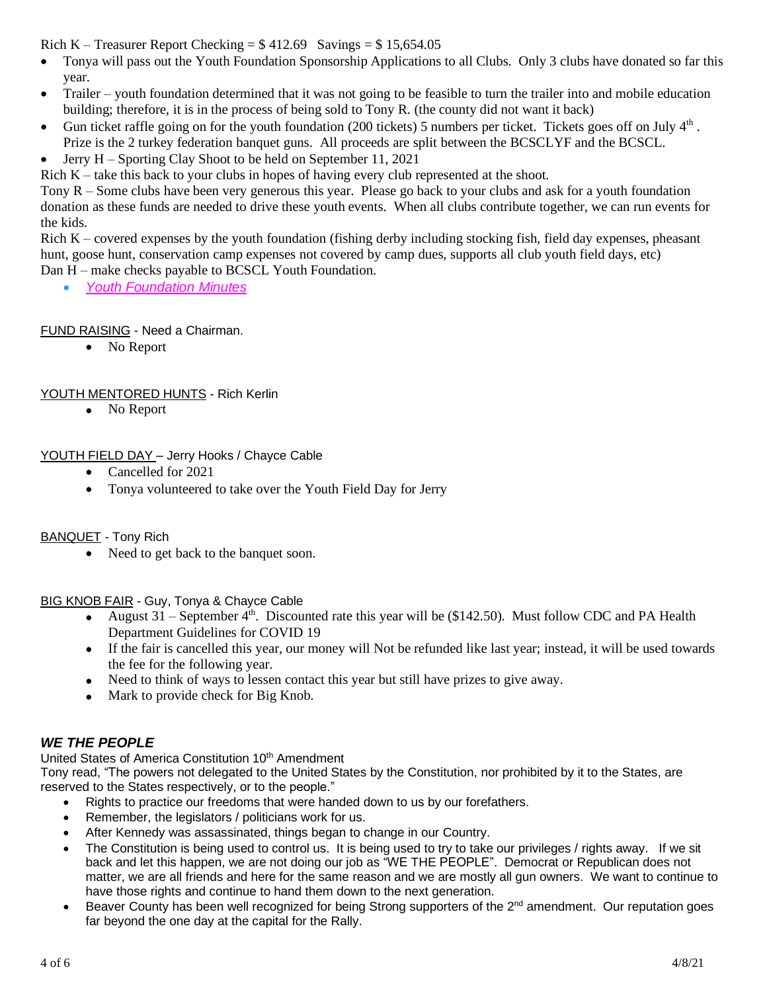Rich K – Treasurer Report Checking =  $$412.69$  Savings =  $$15,654.05$ 

- Tonya will pass out the Youth Foundation Sponsorship Applications to all Clubs. Only 3 clubs have donated so far this year.
- Trailer youth foundation determined that it was not going to be feasible to turn the trailer into and mobile education building; therefore, it is in the process of being sold to Tony R. (the county did not want it back)
- Gun ticket raffle going on for the youth foundation (200 tickets) 5 numbers per ticket. Tickets goes off on July  $4<sup>th</sup>$ . Prize is the 2 turkey federation banquet guns. All proceeds are split between the BCSCLYF and the BCSCL.
- Jerry H Sporting Clay Shoot to be held on September 11, 2021

Rich  $K$  – take this back to your clubs in hopes of having every club represented at the shoot.

Tony R – Some clubs have been very generous this year. Please go back to your clubs and ask for a youth foundation donation as these funds are needed to drive these youth events. When all clubs contribute together, we can run events for the kids.

Rich K – covered expenses by the youth foundation (fishing derby including stocking fish, field day expenses, pheasant hunt, goose hunt, conservation camp expenses not covered by camp dues, supports all club youth field days, etc) Dan H – make checks payable to BCSCL Youth Foundation.

• *Youth [Foundation](https://drive.google.com/file/d/1xBdri9d2JP4GqJs_ud07a8eInvnP2A0S/view?usp=sharing) Minutes*

FUND RAISING - Need a Chairman.

• No Report

## YOUTH MENTORED HUNTS - Rich Kerlin

• No Report

## YOUTH FIELD DAY – Jerry Hooks / Chayce Cable

- Cancelled for 2021
- Tonya volunteered to take over the Youth Field Day for Jerry

BANQUET - Tony Rich

• Need to get back to the banquet soon.

BIG KNOB FAIR - Guy, Tonya & Chayce Cable

- August  $31$  September  $4^{\text{th}}$ . Discounted rate this year will be (\$142.50). Must follow CDC and PA Health Department Guidelines for COVID 19
- If the fair is cancelled this year, our money will Not be refunded like last year; instead, it will be used towards the fee for the following year.
- Need to think of ways to lessen contact this year but still have prizes to give away.
- Mark to provide check for Big Knob.

# *WE THE PEOPLE*

United States of America Constitution 10<sup>th</sup> Amendment

Tony read, "The powers not delegated to the United States by the Constitution, nor prohibited by it to the States, are reserved to the States respectively, or to the people."

- Rights to practice our freedoms that were handed down to us by our forefathers.
- Remember, the legislators / politicians work for us.
- After Kennedy was assassinated, things began to change in our Country.
- The Constitution is being used to control us. It is being used to try to take our privileges / rights away. If we sit back and let this happen, we are not doing our job as "WE THE PEOPLE". Democrat or Republican does not matter, we are all friends and here for the same reason and we are mostly all gun owners. We want to continue to have those rights and continue to hand them down to the next generation.
- Beaver County has been well recognized for being Strong supporters of the 2<sup>nd</sup> amendment. Our reputation goes far beyond the one day at the capital for the Rally.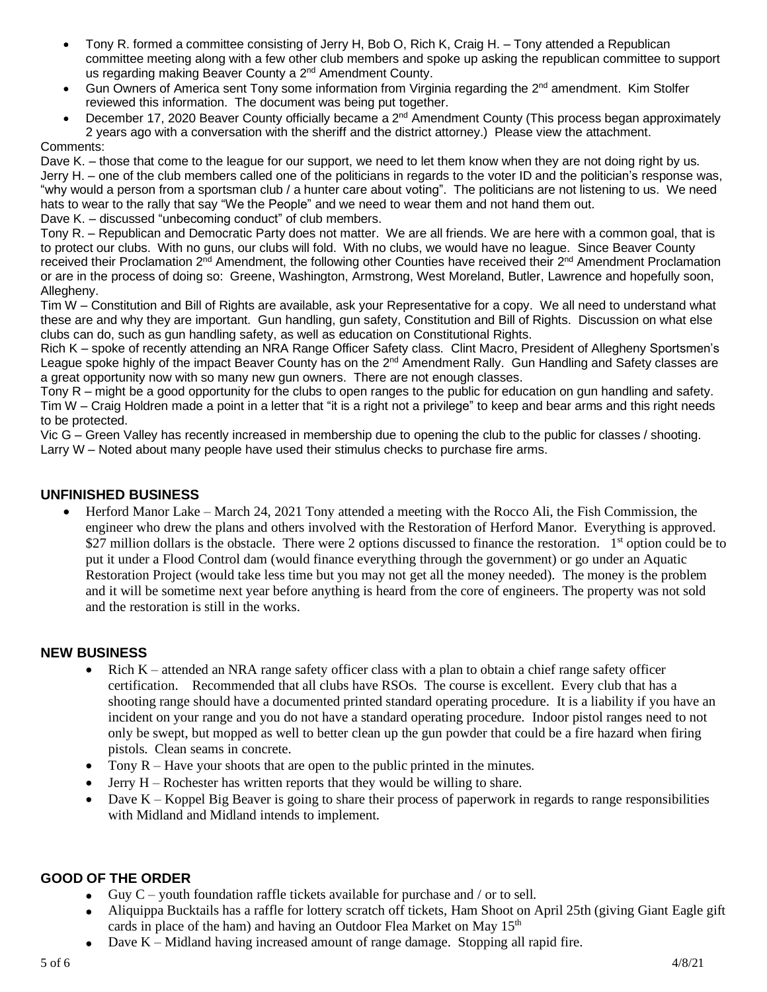- Tony R. formed a committee consisting of Jerry H, Bob O, Rich K, Craig H. Tony attended a Republican committee meeting along with a few other club members and spoke up asking the republican committee to support us regarding making Beaver County a 2<sup>nd</sup> Amendment County.
- Gun Owners of America sent Tony some information from Virginia regarding the 2<sup>nd</sup> amendment. Kim Stolfer reviewed this information. The document was being put together.
- December 17, 2020 Beaver County officially became a 2<sup>nd</sup> Amendment County (This process began approximately 2 years ago with a conversation with the sheriff and the district attorney.) Please view the attachment.

#### Comments:

Dave K. – those that come to the league for our support, we need to let them know when they are not doing right by us. Jerry H. – one of the club members called one of the politicians in regards to the voter ID and the politician's response was, "why would a person from a sportsman club / a hunter care about voting". The politicians are not listening to us. We need hats to wear to the rally that say "We the People" and we need to wear them and not hand them out.

Dave K. – discussed "unbecoming conduct" of club members.

Tony R. – Republican and Democratic Party does not matter. We are all friends. We are here with a common goal, that is to protect our clubs. With no guns, our clubs will fold. With no clubs, we would have no league. Since Beaver County received their Proclamation 2<sup>nd</sup> Amendment, the following other Counties have received their 2<sup>nd</sup> Amendment Proclamation or are in the process of doing so: Greene, Washington, Armstrong, West Moreland, Butler, Lawrence and hopefully soon, Allegheny.

Tim W – Constitution and Bill of Rights are available, ask your Representative for a copy. We all need to understand what these are and why they are important. Gun handling, gun safety, Constitution and Bill of Rights. Discussion on what else clubs can do, such as gun handling safety, as well as education on Constitutional Rights.

Rich K – spoke of recently attending an NRA Range Officer Safety class. Clint Macro, President of Allegheny Sportsmen's League spoke highly of the impact Beaver County has on the 2<sup>nd</sup> Amendment Rally. Gun Handling and Safety classes are a great opportunity now with so many new gun owners. There are not enough classes.

Tony R – might be a good opportunity for the clubs to open ranges to the public for education on gun handling and safety. Tim W – Craig Holdren made a point in a letter that "it is a right not a privilege" to keep and bear arms and this right needs to be protected.

Vic G – Green Valley has recently increased in membership due to opening the club to the public for classes / shooting. Larry W – Noted about many people have used their stimulus checks to purchase fire arms.

## **UNFINISHED BUSINESS**

• Herford Manor Lake – March 24, 2021 Tony attended a meeting with the Rocco Ali, the Fish Commission, the engineer who drew the plans and others involved with the Restoration of Herford Manor. Everything is approved. \$27 million dollars is the obstacle. There were 2 options discussed to finance the restoration. 1<sup>st</sup> option could be to put it under a Flood Control dam (would finance everything through the government) or go under an Aquatic Restoration Project (would take less time but you may not get all the money needed). The money is the problem and it will be sometime next year before anything is heard from the core of engineers. The property was not sold and the restoration is still in the works.

## **NEW BUSINESS**

- Rich K attended an NRA range safety officer class with a plan to obtain a chief range safety officer certification. Recommended that all clubs have RSOs. The course is excellent. Every club that has a shooting range should have a documented printed standard operating procedure. It is a liability if you have an incident on your range and you do not have a standard operating procedure. Indoor pistol ranges need to not only be swept, but mopped as well to better clean up the gun powder that could be a fire hazard when firing pistols. Clean seams in concrete.
- Tony  $R$  Have your shoots that are open to the public printed in the minutes.
- Jerry  $H -$  Rochester has written reports that they would be willing to share.
- Dave K Koppel Big Beaver is going to share their process of paperwork in regards to range responsibilities with Midland and Midland intends to implement.

## **GOOD OF THE ORDER**

- Guy  $C$  youth foundation raffle tickets available for purchase and / or to sell.
- Aliquippa Bucktails has a raffle for lottery scratch off tickets, Ham Shoot on April 25th (giving Giant Eagle gift cards in place of the ham) and having an Outdoor Flea Market on May  $15<sup>th</sup>$
- Dave K Midland having increased amount of range damage. Stopping all rapid fire.